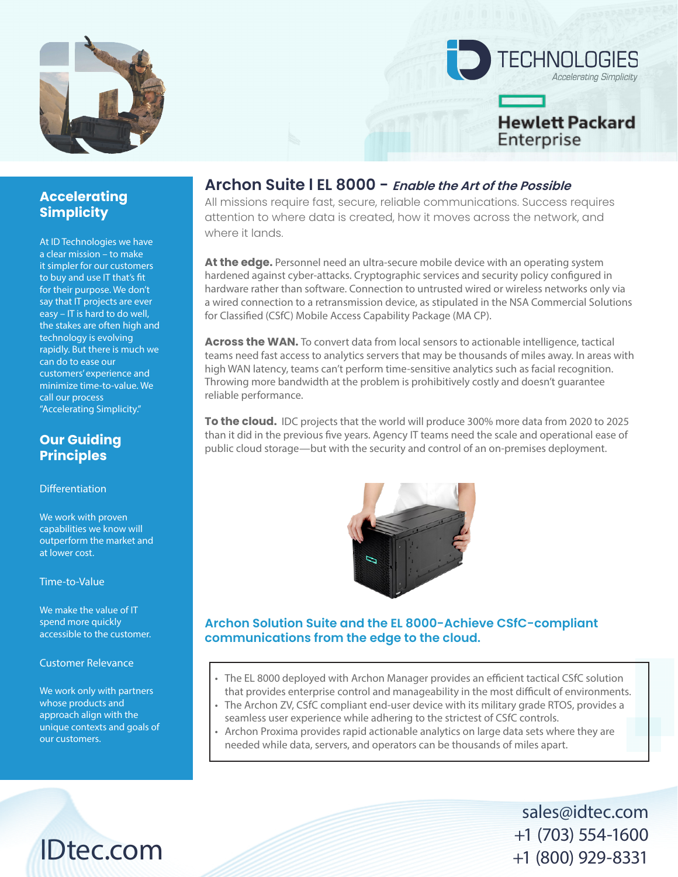

# **TECHNOLOGIES Accelerating Simplicity Hewlett Packard** Enterprise

### **Accelerating Simplicity**

At ID Technologies we have a clear mission – to make it simpler for our customers to buy and use IT that's fit for their purpose. We don't say that IT projects are ever easy – IT is hard to do well, the stakes are often high and technology is evolving rapidly. But there is much we can do to ease our customers' experience and minimize time-to-value. We call our process "Accelerating Simplicity."

#### **Our Guiding Principles**

**Differentiation** 

We work with proven capabilities we know will outperform the market and at lower cost.

Time-to-Value

We make the value of IT spend more quickly accessible to the customer.

#### Customer Relevance

We work only with partners whose products and approach align with the unique contexts and goals of our customers.

IDtec.com

#### **Archon Suite l EL 8000 - Enable the Art of the Possible**

All missions require fast, secure, reliable communications. Success requires attention to where data is created, how it moves across the network, and where it lands.

At the edge. Personnel need an ultra-secure mobile device with an operating system hardened against cyber-attacks. Cryptographic services and security policy configured in hardware rather than software. Connection to untrusted wired or wireless networks only via a wired connection to a retransmission device, as stipulated in the NSA Commercial Solutions for Classified (CSfC) Mobile Access Capability Package (MA CP).

**Across the WAN.** To convert data from local sensors to actionable intelligence, tactical teams need fast access to analytics servers that may be thousands of miles away. In areas with high WAN latency, teams can't perform time-sensitive analytics such as facial recognition. Throwing more bandwidth at the problem is prohibitively costly and doesn't guarantee reliable performance.

**To the cloud.** IDC projects that the world will produce 300% more data from 2020 to 2025 than it did in the previous five years. Agency IT teams need the scale and operational ease of public cloud storage—but with the security and control of an on-premises deployment.



#### **Archon Solution Suite and the EL 8000-Achieve CSfC-compliant communications from the edge to the cloud.**

- The EL 8000 deployed with Archon Manager provides an efficient tactical CSfC solution that provides enterprise control and manageability in the most difficult of environments.
- The Archon ZV, CSfC compliant end-user device with its military grade RTOS, provides a seamless user experience while adhering to the strictest of CSfC controls.
- Archon Proxima provides rapid actionable analytics on large data sets where they are needed while data, servers, and operators can be thousands of miles apart.

sales@idtec.com +1 (703) 554-1600 +1 (800) 929-8331